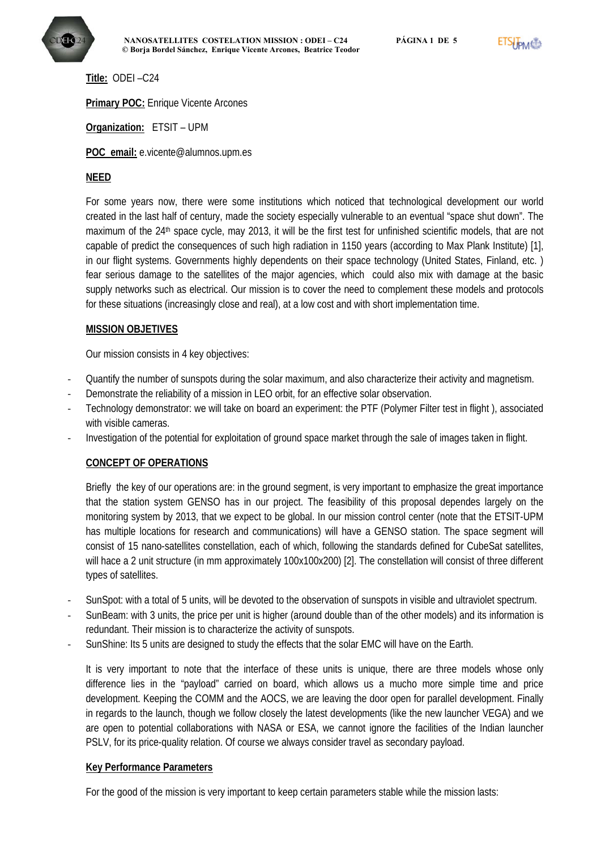



**Title:** ODEI –C24

**Primary POC: Enrique Vicente Arcones** 

**Organization:** ETSIT – UPM

**POC email:** e.vicente@alumnos.upm.es

## **NEED**

For some years now, there were some institutions which noticed that technological development our world created in the last half of century, made the society especially vulnerable to an eventual "space shut down". The maximum of the 24<sup>th</sup> space cycle, may 2013, it will be the first test for unfinished scientific models, that are not capable of predict the consequences of such high radiation in 1150 years (according to Max Plank Institute) [1], in our flight systems. Governments highly dependents on their space technology (United States, Finland, etc. ) fear serious damage to the satellites of the major agencies, which could also mix with damage at the basic supply networks such as electrical. Our mission is to cover the need to complement these models and protocols for these situations (increasingly close and real), at a low cost and with short implementation time.

## **MISSION OBJETIVES**

Our mission consists in 4 key objectives:

- ‐ Quantify the number of sunspots during the solar maximum, and also characterize their activity and magnetism.
- Demonstrate the reliability of a mission in LEO orbit, for an effective solar observation.
- ‐ Technology demonstrator: we will take on board an experiment: the PTF (Polymer Filter test in flight ), associated with visible cameras.
- ‐ Investigation of the potential for exploitation of ground space market through the sale of images taken in flight.

## **CONCEPT OF OPERATIONS**

Briefly the key of our operations are: in the ground segment, is very important to emphasize the great importance that the station system GENSO has in our project. The feasibility of this proposal dependes largely on the monitoring system by 2013, that we expect to be global. In our mission control center (note that the ETSIT-UPM has multiple locations for research and communications) will have a GENSO station. The space segment will consist of 15 nano-satellites constellation, each of which, following the standards defined for CubeSat satellites, will hace a 2 unit structure (in mm approximately 100x100x200) [2]. The constellation will consist of three different types of satellites.

- SunSpot: with a total of 5 units, will be devoted to the observation of sunspots in visible and ultraviolet spectrum.
- ‐ SunBeam: with 3 units, the price per unit is higher (around double than of the other models) and its information is redundant. Their mission is to characterize the activity of sunspots.
- SunShine: Its 5 units are designed to study the effects that the solar EMC will have on the Earth.

It is very important to note that the interface of these units is unique, there are three models whose only difference lies in the "payload" carried on board, which allows us a mucho more simple time and price development. Keeping the COMM and the AOCS, we are leaving the door open for parallel development. Finally in regards to the launch, though we follow closely the latest developments (like the new launcher VEGA) and we are open to potential collaborations with NASA or ESA, we cannot ignore the facilities of the Indian launcher PSLV, for its price-quality relation. Of course we always consider travel as secondary payload.

#### **Key Performance Parameters**

For the good of the mission is very important to keep certain parameters stable while the mission lasts: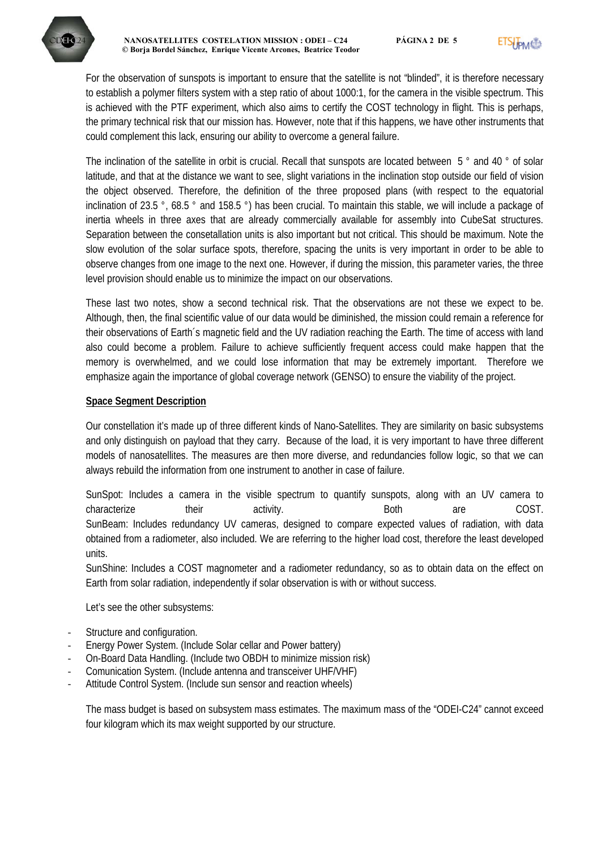

For the observation of sunspots is important to ensure that the satellite is not "blinded", it is therefore necessary to establish a polymer filters system with a step ratio of about 1000:1, for the camera in the visible spectrum. This is achieved with the PTF experiment, which also aims to certify the COST technology in flight. This is perhaps, the primary technical risk that our mission has. However, note that if this happens, we have other instruments that could complement this lack, ensuring our ability to overcome a general failure.

The inclination of the satellite in orbit is crucial. Recall that sunspots are located between 5 ° and 40 ° of solar latitude, and that at the distance we want to see, slight variations in the inclination stop outside our field of vision the object observed. Therefore, the definition of the three proposed plans (with respect to the equatorial inclination of 23.5 °, 68.5 ° and 158.5 °) has been crucial. To maintain this stable, we will include a package of inertia wheels in three axes that are already commercially available for assembly into CubeSat structures. Separation between the consetallation units is also important but not critical. This should be maximum. Note the slow evolution of the solar surface spots, therefore, spacing the units is very important in order to be able to observe changes from one image to the next one. However, if during the mission, this parameter varies, the three level provision should enable us to minimize the impact on our observations.

These last two notes, show a second technical risk. That the observations are not these we expect to be. Although, then, the final scientific value of our data would be diminished, the mission could remain a reference for their observations of Earth´s magnetic field and the UV radiation reaching the Earth. The time of access with land also could become a problem. Failure to achieve sufficiently frequent access could make happen that the memory is overwhelmed, and we could lose information that may be extremely important. Therefore we emphasize again the importance of global coverage network (GENSO) to ensure the viability of the project.

## **Space Segment Description**

Our constellation it's made up of three different kinds of Nano-Satellites. They are similarity on basic subsystems and only distinguish on payload that they carry. Because of the load, it is very important to have three different models of nanosatellites. The measures are then more diverse, and redundancies follow logic, so that we can always rebuild the information from one instrument to another in case of failure.

SunSpot: Includes a camera in the visible spectrum to quantify sunspots, along with an UV camera to characterize their activity. Both are COST. SunBeam: Includes redundancy UV cameras, designed to compare expected values of radiation, with data obtained from a radiometer, also included. We are referring to the higher load cost, therefore the least developed units.

SunShine: Includes a COST magnometer and a radiometer redundancy, so as to obtain data on the effect on Earth from solar radiation, independently if solar observation is with or without success.

Let's see the other subsystems:

- Structure and configuration.
- ‐ Energy Power System. (Include Solar cellar and Power battery)
- ‐ On-Board Data Handling. (Include two OBDH to minimize mission risk)
- ‐ Comunication System. (Include antenna and transceiver UHF/VHF)
- ‐ Attitude Control System. (Include sun sensor and reaction wheels)

The mass budget is based on subsystem mass estimates. The maximum mass of the "ODEI-C24" cannot exceed four kilogram which its max weight supported by our structure.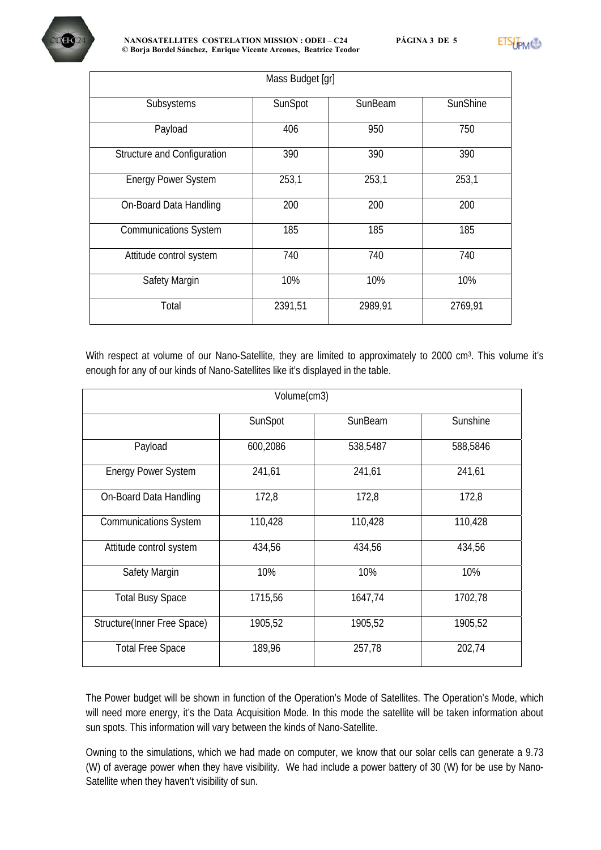

| Mass Budget [gr]             |         |         |          |  |  |  |
|------------------------------|---------|---------|----------|--|--|--|
| Subsystems                   | SunSpot | SunBeam | SunShine |  |  |  |
| Payload                      | 406     | 950     | 750      |  |  |  |
| Structure and Configuration  | 390     | 390     | 390      |  |  |  |
| <b>Energy Power System</b>   | 253,1   | 253,1   | 253,1    |  |  |  |
| On-Board Data Handling       | 200     | 200     | 200      |  |  |  |
| <b>Communications System</b> | 185     | 185     | 185      |  |  |  |
| Attitude control system      | 740     | 740     | 740      |  |  |  |
| Safety Margin                | 10%     | 10%     | 10%      |  |  |  |
| Total                        | 2391,51 | 2989,91 | 2769,91  |  |  |  |

With respect at volume of our Nano-Satellite, they are limited to approximately to 2000 cm<sup>3</sup>. This volume it's enough for any of our kinds of Nano-Satellites like it's displayed in the table.

| Volume(cm3)                  |          |          |          |  |  |
|------------------------------|----------|----------|----------|--|--|
|                              | SunSpot  | SunBeam  | Sunshine |  |  |
| Payload                      | 600,2086 | 538,5487 | 588,5846 |  |  |
| <b>Energy Power System</b>   | 241,61   | 241,61   | 241,61   |  |  |
| On-Board Data Handling       | 172,8    | 172,8    | 172,8    |  |  |
| <b>Communications System</b> | 110,428  | 110,428  | 110,428  |  |  |
| Attitude control system      | 434,56   | 434,56   | 434,56   |  |  |
| Safety Margin                | 10%      | 10%      | 10%      |  |  |
| <b>Total Busy Space</b>      | 1715,56  | 1647,74  | 1702,78  |  |  |
| Structure(Inner Free Space)  | 1905,52  | 1905,52  | 1905,52  |  |  |
| <b>Total Free Space</b>      | 189,96   | 257,78   | 202,74   |  |  |

The Power budget will be shown in function of the Operation's Mode of Satellites. The Operation's Mode, which will need more energy, it's the Data Acquisition Mode. In this mode the satellite will be taken information about sun spots. This information will vary between the kinds of Nano-Satellite.

Owning to the simulations, which we had made on computer, we know that our solar cells can generate a 9.73 (W) of average power when they have visibility. We had include a power battery of 30 (W) for be use by Nano-Satellite when they haven't visibility of sun.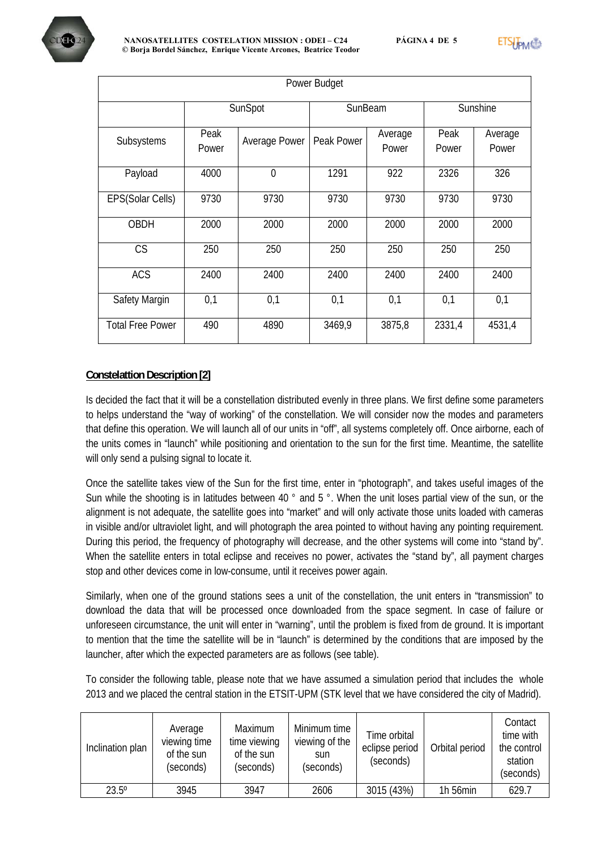

| Power Budget            |               |               |            |                  |               |                  |
|-------------------------|---------------|---------------|------------|------------------|---------------|------------------|
|                         | SunSpot       |               | SunBeam    |                  | Sunshine      |                  |
| Subsystems              | Peak<br>Power | Average Power | Peak Power | Average<br>Power | Peak<br>Power | Average<br>Power |
| Payload                 | 4000          | $\mathbf{0}$  | 1291       | 922              | 2326          | 326              |
| EPS(Solar Cells)        | 9730          | 9730          | 9730       | 9730             | 9730          | 9730             |
| <b>OBDH</b>             | 2000          | 2000          | 2000       | 2000             | 2000          | 2000             |
| <b>CS</b>               | 250           | 250           | 250        | 250              | 250           | 250              |
| <b>ACS</b>              | 2400          | 2400          | 2400       | 2400             | 2400          | 2400             |
| Safety Margin           | 0,1           | 0,1           | 0,1        | 0,1              | 0,1           | 0,1              |
| <b>Total Free Power</b> | 490           | 4890          | 3469,9     | 3875,8           | 2331,4        | 4531,4           |

# **Constelattion Description [2]**

Is decided the fact that it will be a constellation distributed evenly in three plans. We first define some parameters to helps understand the "way of working" of the constellation. We will consider now the modes and parameters that define this operation. We will launch all of our units in "off", all systems completely off. Once airborne, each of the units comes in "launch" while positioning and orientation to the sun for the first time. Meantime, the satellite will only send a pulsing signal to locate it.

Once the satellite takes view of the Sun for the first time, enter in "photograph", and takes useful images of the Sun while the shooting is in latitudes between 40 ° and 5 °. When the unit loses partial view of the sun, or the alignment is not adequate, the satellite goes into "market" and will only activate those units loaded with cameras in visible and/or ultraviolet light, and will photograph the area pointed to without having any pointing requirement. During this period, the frequency of photography will decrease, and the other systems will come into "stand by". When the satellite enters in total eclipse and receives no power, activates the "stand by", all payment charges stop and other devices come in low-consume, until it receives power again.

Similarly, when one of the ground stations sees a unit of the constellation, the unit enters in "transmission" to download the data that will be processed once downloaded from the space segment. In case of failure or unforeseen circumstance, the unit will enter in "warning", until the problem is fixed from de ground. It is important to mention that the time the satellite will be in "launch" is determined by the conditions that are imposed by the launcher, after which the expected parameters are as follows (see table).

To consider the following table, please note that we have assumed a simulation period that includes the whole 2013 and we placed the central station in the ETSIT-UPM (STK level that we have considered the city of Madrid).

| Inclination plan | Average<br>viewing time<br>of the sun<br>(seconds) | Maximum<br>time viewing<br>of the sun<br>(seconds) | Minimum time<br>viewing of the<br>sun<br>(seconds) | Time orbital<br>eclipse period<br>(seconds) | Orbital period | Contact<br>time with<br>the control<br>station<br>(seconds) |
|------------------|----------------------------------------------------|----------------------------------------------------|----------------------------------------------------|---------------------------------------------|----------------|-------------------------------------------------------------|
| $23.5^{\circ}$   | 3945                                               | 3947                                               | 2606                                               | 3015 (43%)                                  | 1h 56min       | 629.7                                                       |